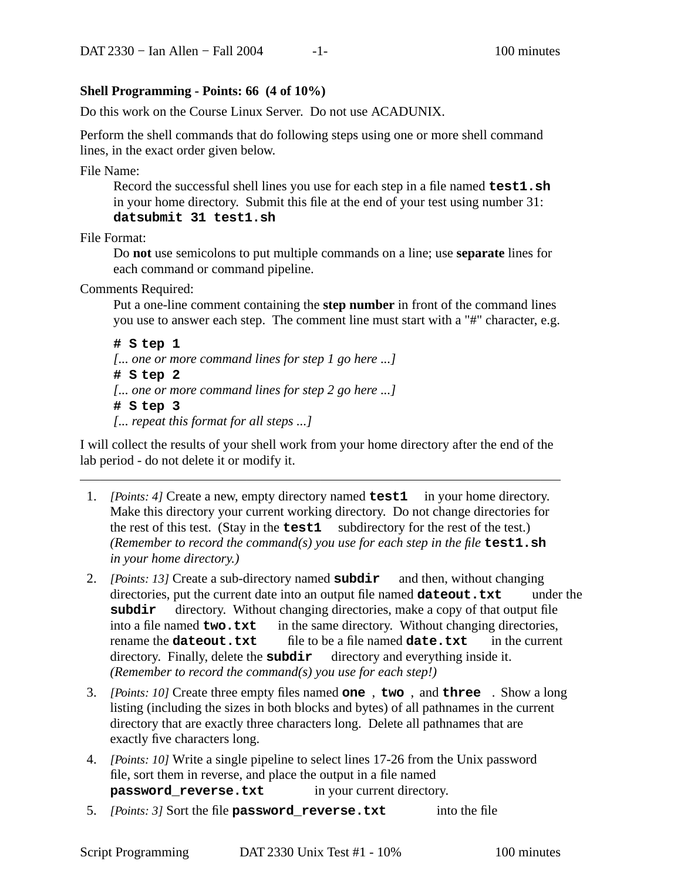## **Shell Programming - Points: 66 (4 of 10%)**

Do this work on the Course Linux Server. Do not use ACADUNIX.

Perform the shell commands that do following steps using one or more shell command lines, in the exact order given below.

File Name:

Record the successful shell lines you use for each step in a file named **test1.sh** in your home directory. Submit this file at the end of your test using number 31: **datsubmit 31 test1.sh**

File Format:

Do **not** use semicolons to put multiple commands on a line; use **separate** lines for each command or command pipeline.

Comments Required:

Put a one-line comment containing the **step number** in front of the command lines you use to answer each step. The comment line must start with a "#" character, e.g.

```
# S tep 1
[... one or more command lines for step 1 go here ...]
# S tep 2
[... one or more command lines for step 2 go here ...]
# S tep 3
[... repeat this format for all steps ...]
```
I will collect the results of your shell work from your home directory after the end of the lab period - do not delete it or modify it.

- 1. *[Points: 4]* Create a new, empty directory named **test1** in your home directory. Make this directory your current working directory. Do not change directories for the rest of this test. (Stay in the **test1** subdirectory for the rest of the test.) *(Remember to record the command(s) you use for each step in the file* **test1.sh** *in your home directory.)*
- 2. *[Points: 13]* Create a sub-directory named **subdir** and then, without changing directories, put the current date into an output file named **dateout.txt** under the subdir directory. Without changing directories, make a copy of that output file into a file named **two.txt** in the same directory. Without changing directories, rename the **dateout.txt** file to be a file named **date.txt** in the current directory. Finally, delete the **subdir** directory and everything inside it. *(Remember to record the command(s) you use for each step!)*
- 3. *[Points: 10]* Create three empty files named **one** , **two** , and **three** . Showalong listing (including the sizes in both blocks and bytes) of all pathnames in the current directory that are exactly three characters long. Delete all pathnames that are exactly five characters long.
- 4. *[Points: 10]* Write a single pipeline to select lines 17-26 from the Unix password file, sort them in reverse, and place the output in a file named **password reverse.txt** in your current directory.
- 5. *[Points: 3]* Sort the file **password\_reverse.txt** into the file